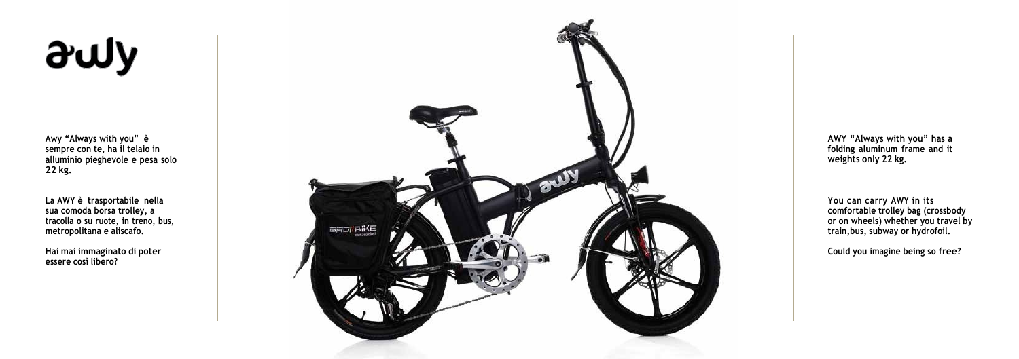## awy

**Awy "Always with you" è sempre con te, ha il telaio in alluminio pieghevole e pesa solo 22 kg.**

**La AWY è trasportabile nella sua comoda borsa trolley, a tracolla o su ruote, in treno, bus, metropolitana e aliscafo.**

**Hai mai immaginato di poter essere così libero?**



**AWY "Always with you" has a folding aluminum frame and it weights only 22 kg.**

**You can carry AWY in its comfortable trolley bag (crossbody or on wheels) whether you travel by train,bus, subway or hydrofoil.**

**Could you imagine being so free?**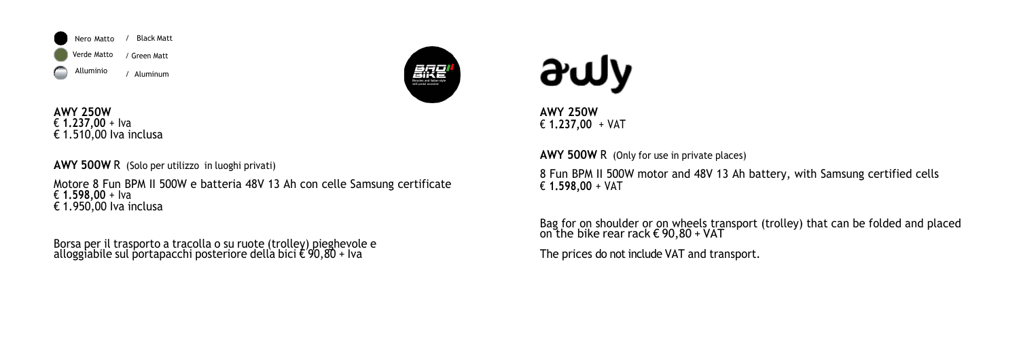

**AWY 250W** € **1.237,00** + Iva € 1.510,00 Iva inclusa



## awy

Motore 8 Fun BPM II 500W e batteria 48V 13 Ah con celle Samsung certificate € **1.598,00** + Iva € 1.950,00 Iva inclusa

**AWY 500W** R (Solo per utilizzo in luoghi privati)

Borsa per il trasporto a tracolla o su ruote (trolley) pieghevole e alloggiabile sul portapacchi posteriore della bici € 90,80 + Iva

**AWY 250W** € **1.237,00** + VAT

**AWY 500W** R (Only for use in private places)

8 Fun BPM II 500W motor and 48V 13 Ah battery, with Samsung certified cells € **1.598,00** + VAT

Bag for on shoulder or on wheels transport (trolley) that can be folded and placed on the bike rear rack € 90,80 + VAT

The prices do not include VAT and transport.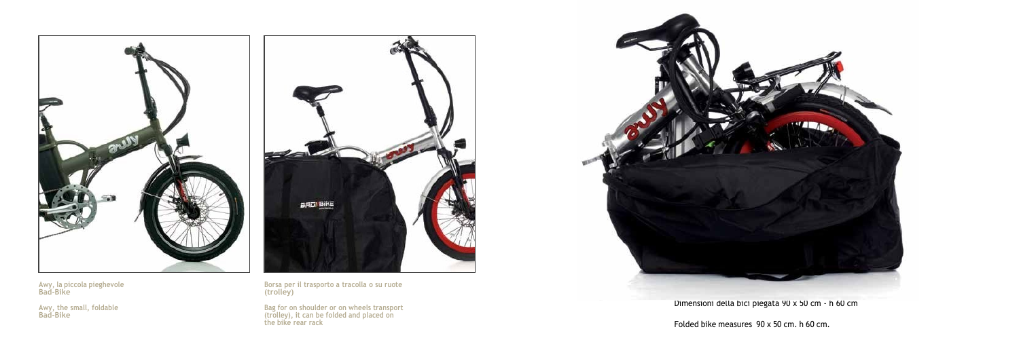

**Awy, la piccola pieghevole Bad -Bike**

**Awy, the small , foldable Bad -Bike**



**Borsa per il trasporto a tracolla o su ruote (trolley)**

**Bag for on shoulder or on wheels transport (trolley), it can be folded and placed on the bike rear rack**



Folded bike measures 90 x 50 cm. h 60 cm.